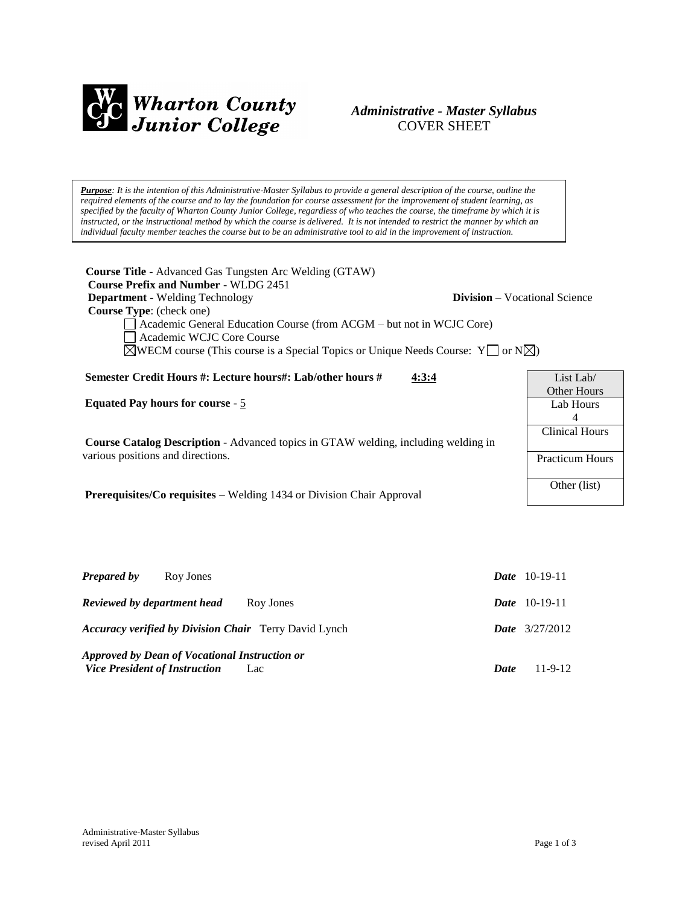

# *Administrative - Master Syllabus*  COVER SHEET

*Purpose: It is the intention of this Administrative-Master Syllabus to provide a general description of the course, outline the required elements of the course and to lay the foundation for course assessment for the improvement of student learning, as specified by the faculty of Wharton County Junior College, regardless of who teaches the course, the timeframe by which it is* instructed, or the instructional method by which the course is delivered. It is not intended to restrict the manner by which an *individual faculty member teaches the course but to be an administrative tool to aid in the improvement of instruction.*

| <b>Course Title</b> - Advanced Gas Tungsten Arc Welding (GTAW)<br><b>Course Prefix and Number - WLDG 2451</b><br><b>Department</b> - Welding Technology<br><b>Division</b> – Vocational Science<br><b>Course Type:</b> (check one)<br>Academic General Education Course (from ACGM – but not in WCJC Core)<br>Academic WCJC Core Course<br>$\triangle$ WECM course (This course is a Special Topics or Unique Needs Course: Y or N $\triangle$ ) |                        |  |
|--------------------------------------------------------------------------------------------------------------------------------------------------------------------------------------------------------------------------------------------------------------------------------------------------------------------------------------------------------------------------------------------------------------------------------------------------|------------------------|--|
| Semester Credit Hours #: Lecture hours#: Lab/other hours #<br>4:3:4                                                                                                                                                                                                                                                                                                                                                                              | List Lab/              |  |
|                                                                                                                                                                                                                                                                                                                                                                                                                                                  | Other Hours            |  |
| <b>Equated Pay hours for course - 5</b>                                                                                                                                                                                                                                                                                                                                                                                                          | Lab Hours              |  |
|                                                                                                                                                                                                                                                                                                                                                                                                                                                  | 4                      |  |
|                                                                                                                                                                                                                                                                                                                                                                                                                                                  | Clinical Hours         |  |
| <b>Course Catalog Description</b> - Advanced topics in GTAW welding, including welding in                                                                                                                                                                                                                                                                                                                                                        |                        |  |
| various positions and directions.                                                                                                                                                                                                                                                                                                                                                                                                                | <b>Practicum Hours</b> |  |
|                                                                                                                                                                                                                                                                                                                                                                                                                                                  |                        |  |
|                                                                                                                                                                                                                                                                                                                                                                                                                                                  | Other (list)           |  |
| <b>Prerequisites/Co requisites – Welding 1434 or Division Chair Approval</b>                                                                                                                                                                                                                                                                                                                                                                     |                        |  |

| <b>Prepared by</b>                                           | Roy Jones                                            |             | <b>Date</b> $10-19-11$  |
|--------------------------------------------------------------|------------------------------------------------------|-------------|-------------------------|
| Reviewed by department head                                  | Roy Jones                                            |             | <b>Date</b> $10-19-11$  |
| <b>Accuracy verified by Division Chair</b> Terry David Lynch |                                                      |             | <b>Date</b> $3/27/2012$ |
| <b>Vice President of Instruction</b>                         | Approved by Dean of Vocational Instruction or<br>Lac | <b>Date</b> | $11-9-12$               |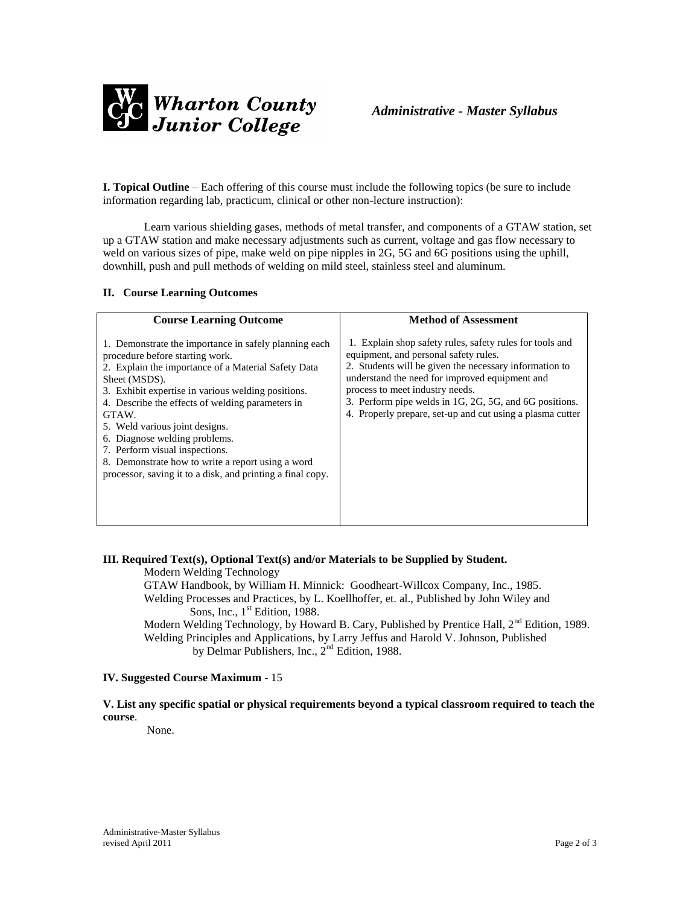

**I. Topical Outline** – Each offering of this course must include the following topics (be sure to include information regarding lab, practicum, clinical or other non-lecture instruction):

Learn various shielding gases, methods of metal transfer, and components of a GTAW station, set up a GTAW station and make necessary adjustments such as current, voltage and gas flow necessary to weld on various sizes of pipe, make weld on pipe nipples in 2G, 5G and 6G positions using the uphill, downhill, push and pull methods of welding on mild steel, stainless steel and aluminum.

#### **II. Course Learning Outcomes**

| <b>Course Learning Outcome</b>                                                                                                                                                                                                                                                                                                                                                                                                                                                                              | <b>Method of Assessment</b>                                                                                                                                                                                                                                                                                                                                             |
|-------------------------------------------------------------------------------------------------------------------------------------------------------------------------------------------------------------------------------------------------------------------------------------------------------------------------------------------------------------------------------------------------------------------------------------------------------------------------------------------------------------|-------------------------------------------------------------------------------------------------------------------------------------------------------------------------------------------------------------------------------------------------------------------------------------------------------------------------------------------------------------------------|
| 1. Demonstrate the importance in safely planning each<br>procedure before starting work.<br>2. Explain the importance of a Material Safety Data<br>Sheet (MSDS).<br>3. Exhibit expertise in various welding positions.<br>4. Describe the effects of welding parameters in<br>GTAW.<br>5. Weld various joint designs.<br>6. Diagnose welding problems.<br>7. Perform visual inspections.<br>8. Demonstrate how to write a report using a word<br>processor, saving it to a disk, and printing a final copy. | 1. Explain shop safety rules, safety rules for tools and<br>equipment, and personal safety rules.<br>2. Students will be given the necessary information to<br>understand the need for improved equipment and<br>process to meet industry needs.<br>3. Perform pipe welds in 1G, 2G, 5G, and 6G positions.<br>4. Properly prepare, set-up and cut using a plasma cutter |

# **III. Required Text(s), Optional Text(s) and/or Materials to be Supplied by Student.**

Modern Welding Technology

GTAW Handbook, by William H. Minnick: Goodheart-Willcox Company, Inc., 1985.

Welding Processes and Practices, by L. Koellhoffer, et. al., Published by John Wiley and Sons, Inc.,  $1<sup>st</sup>$  Edition, 1988.

Modern Welding Technology, by Howard B. Cary, Published by Prentice Hall, 2<sup>nd</sup> Edition, 1989. Welding Principles and Applications, by Larry Jeffus and Harold V. Johnson, Published by Delmar Publishers, Inc., 2nd Edition, 1988.

#### **IV. Suggested Course Maximum** - 15

**V. List any specific spatial or physical requirements beyond a typical classroom required to teach the course**.

None.